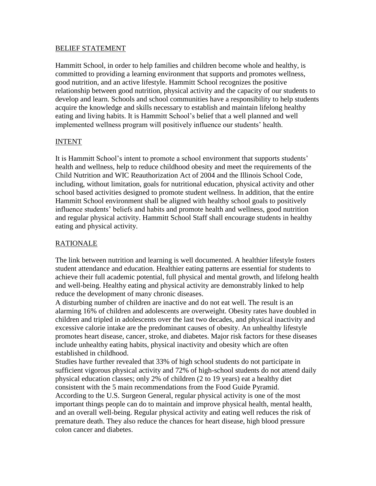#### BELIEF STATEMENT

Hammitt School, in order to help families and children become whole and healthy, is committed to providing a learning environment that supports and promotes wellness, good nutrition, and an active lifestyle. Hammitt School recognizes the positive relationship between good nutrition, physical activity and the capacity of our students to develop and learn. Schools and school communities have a responsibility to help students acquire the knowledge and skills necessary to establish and maintain lifelong healthy eating and living habits. It is Hammitt School's belief that a well planned and well implemented wellness program will positively influence our students' health.

### INTENT

It is Hammitt School's intent to promote a school environment that supports students' health and wellness, help to reduce childhood obesity and meet the requirements of the Child Nutrition and WIC Reauthorization Act of 2004 and the Illinois School Code, including, without limitation, goals for nutritional education, physical activity and other school based activities designed to promote student wellness. In addition, that the entire Hammitt School environment shall be aligned with healthy school goals to positively influence students' beliefs and habits and promote health and wellness, good nutrition and regular physical activity. Hammitt School Staff shall encourage students in healthy eating and physical activity.

# RATIONALE

The link between nutrition and learning is well documented. A healthier lifestyle fosters student attendance and education. Healthier eating patterns are essential for students to achieve their full academic potential, full physical and mental growth, and lifelong health and well-being. Healthy eating and physical activity are demonstrably linked to help reduce the development of many chronic diseases.

A disturbing number of children are inactive and do not eat well. The result is an alarming 16% of children and adolescents are overweight. Obesity rates have doubled in children and tripled in adolescents over the last two decades, and physical inactivity and excessive calorie intake are the predominant causes of obesity. An unhealthy lifestyle promotes heart disease, cancer, stroke, and diabetes. Major risk factors for these diseases include unhealthy eating habits, physical inactivity and obesity which are often established in childhood.

Studies have further revealed that 33% of high school students do not participate in sufficient vigorous physical activity and 72% of high-school students do not attend daily physical education classes; only 2% of children (2 to 19 years) eat a healthy diet consistent with the 5 main recommendations from the Food Guide Pyramid. According to the U.S. Surgeon General, regular physical activity is one of the most important things people can do to maintain and improve physical health, mental health, and an overall well-being. Regular physical activity and eating well reduces the risk of premature death. They also reduce the chances for heart disease, high blood pressure colon cancer and diabetes.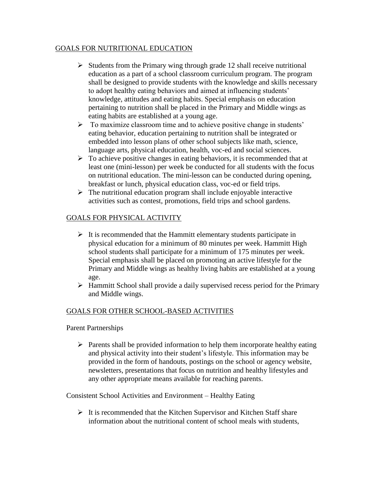### GOALS FOR NUTRITIONAL EDUCATION

- $\triangleright$  Students from the Primary wing through grade 12 shall receive nutritional education as a part of a school classroom curriculum program. The program shall be designed to provide students with the knowledge and skills necessary to adopt healthy eating behaviors and aimed at influencing students' knowledge, attitudes and eating habits. Special emphasis on education pertaining to nutrition shall be placed in the Primary and Middle wings as eating habits are established at a young age.
- $\triangleright$  To maximize classroom time and to achieve positive change in students' eating behavior, education pertaining to nutrition shall be integrated or embedded into lesson plans of other school subjects like math, science, language arts, physical education, health, voc-ed and social sciences.
- $\triangleright$  To achieve positive changes in eating behaviors, it is recommended that at least one (mini-lesson) per week be conducted for all students with the focus on nutritional education. The mini-lesson can be conducted during opening, breakfast or lunch, physical education class, voc-ed or field trips.
- $\triangleright$  The nutritional education program shall include enjoyable interactive activities such as contest, promotions, field trips and school gardens.

# GOALS FOR PHYSICAL ACTIVITY

- $\triangleright$  It is recommended that the Hammitt elementary students participate in physical education for a minimum of 80 minutes per week. Hammitt High school students shall participate for a minimum of 175 minutes per week. Special emphasis shall be placed on promoting an active lifestyle for the Primary and Middle wings as healthy living habits are established at a young age.
- $\triangleright$  Hammitt School shall provide a daily supervised recess period for the Primary and Middle wings.

# GOALS FOR OTHER SCHOOL-BASED ACTIVITIES

Parent Partnerships

 $\triangleright$  Parents shall be provided information to help them incorporate healthy eating and physical activity into their student's lifestyle. This information may be provided in the form of handouts, postings on the school or agency website, newsletters, presentations that focus on nutrition and healthy lifestyles and any other appropriate means available for reaching parents.

Consistent School Activities and Environment – Healthy Eating

 $\triangleright$  It is recommended that the Kitchen Supervisor and Kitchen Staff share information about the nutritional content of school meals with students,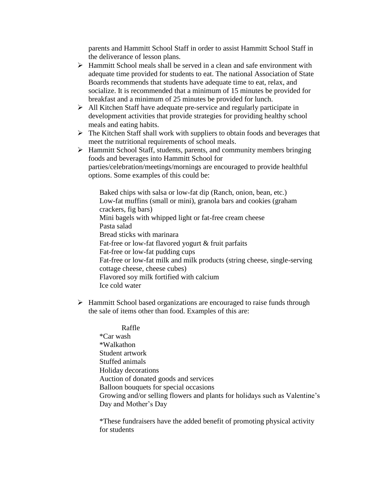parents and Hammitt School Staff in order to assist Hammitt School Staff in the deliverance of lesson plans.

- Hammitt School meals shall be served in a clean and safe environment with adequate time provided for students to eat. The national Association of State Boards recommends that students have adequate time to eat, relax, and socialize. It is recommended that a minimum of 15 minutes be provided for breakfast and a minimum of 25 minutes be provided for lunch.
- $\triangleright$  All Kitchen Staff have adequate pre-service and regularly participate in development activities that provide strategies for providing healthy school meals and eating habits.
- $\triangleright$  The Kitchen Staff shall work with suppliers to obtain foods and beverages that meet the nutritional requirements of school meals.
- $\triangleright$  Hammitt School Staff, students, parents, and community members bringing foods and beverages into Hammitt School for parties/celebration/meetings/mornings are encouraged to provide healthful options. Some examples of this could be:

Baked chips with salsa or low-fat dip (Ranch, onion, bean, etc.) Low-fat muffins (small or mini), granola bars and cookies (graham crackers, fig bars) Mini bagels with whipped light or fat-free cream cheese Pasta salad Bread sticks with marinara Fat-free or low-fat flavored yogurt & fruit parfaits Fat-free or low-fat pudding cups Fat-free or low-fat milk and milk products (string cheese, single-serving cottage cheese, cheese cubes) Flavored soy milk fortified with calcium Ice cold water

 $\triangleright$  Hammitt School based organizations are encouraged to raise funds through the sale of items other than food. Examples of this are:

Raffle \*Car wash \*Walkathon Student artwork Stuffed animals Holiday decorations Auction of donated goods and services Balloon bouquets for special occasions Growing and/or selling flowers and plants for holidays such as Valentine's Day and Mother's Day

\*These fundraisers have the added benefit of promoting physical activity for students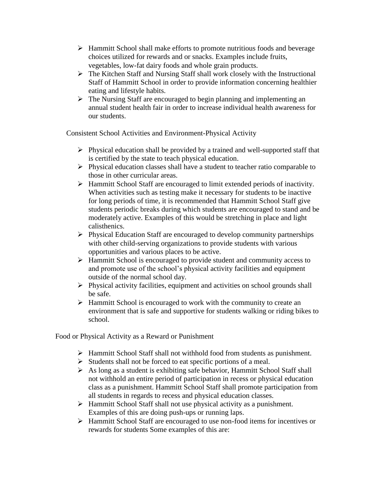- $\triangleright$  Hammitt School shall make efforts to promote nutritious foods and beverage choices utilized for rewards and or snacks. Examples include fruits, vegetables, low-fat dairy foods and whole grain products.
- $\triangleright$  The Kitchen Staff and Nursing Staff shall work closely with the Instructional Staff of Hammitt School in order to provide information concerning healthier eating and lifestyle habits.
- $\triangleright$  The Nursing Staff are encouraged to begin planning and implementing an annual student health fair in order to increase individual health awareness for our students.

Consistent School Activities and Environment-Physical Activity

- $\triangleright$  Physical education shall be provided by a trained and well-supported staff that is certified by the state to teach physical education.
- $\triangleright$  Physical education classes shall have a student to teacher ratio comparable to those in other curricular areas.
- Hammitt School Staff are encouraged to limit extended periods of inactivity. When activities such as testing make it necessary for students to be inactive for long periods of time, it is recommended that Hammitt School Staff give students periodic breaks during which students are encouraged to stand and be moderately active. Examples of this would be stretching in place and light calisthenics.
- $\triangleright$  Physical Education Staff are encouraged to develop community partnerships with other child-serving organizations to provide students with various opportunities and various places to be active.
- $\triangleright$  Hammitt School is encouraged to provide student and community access to and promote use of the school's physical activity facilities and equipment outside of the normal school day.
- $\triangleright$  Physical activity facilities, equipment and activities on school grounds shall be safe.
- $\triangleright$  Hammitt School is encouraged to work with the community to create an environment that is safe and supportive for students walking or riding bikes to school.

Food or Physical Activity as a Reward or Punishment

- $\triangleright$  Hammitt School Staff shall not withhold food from students as punishment.
- $\triangleright$  Students shall not be forced to eat specific portions of a meal.
- $\triangleright$  As long as a student is exhibiting safe behavior, Hammitt School Staff shall not withhold an entire period of participation in recess or physical education class as a punishment. Hammitt School Staff shall promote participation from all students in regards to recess and physical education classes.
- $\triangleright$  Hammitt School Staff shall not use physical activity as a punishment. Examples of this are doing push-ups or running laps.
- Hammitt School Staff are encouraged to use non-food items for incentives or rewards for students Some examples of this are: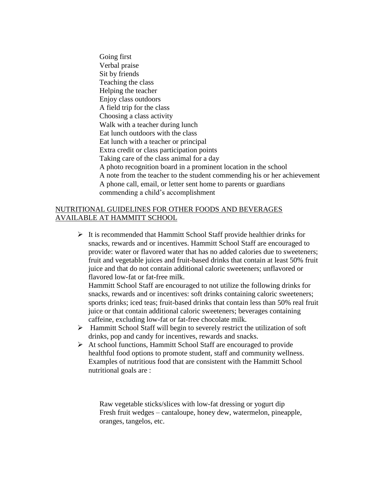Going first Verbal praise Sit by friends Teaching the class Helping the teacher Enjoy class outdoors A field trip for the class Choosing a class activity Walk with a teacher during lunch Eat lunch outdoors with the class Eat lunch with a teacher or principal Extra credit or class participation points Taking care of the class animal for a day A photo recognition board in a prominent location in the school A note from the teacher to the student commending his or her achievement A phone call, email, or letter sent home to parents or guardians commending a child's accomplishment

### NUTRITIONAL GUIDELINES FOR OTHER FOODS AND BEVERAGES AVAILABLE AT HAMMITT SCHOOL

 $\triangleright$  It is recommended that Hammitt School Staff provide healthier drinks for snacks, rewards and or incentives. Hammitt School Staff are encouraged to provide: water or flavored water that has no added calories due to sweeteners; fruit and vegetable juices and fruit-based drinks that contain at least 50% fruit juice and that do not contain additional caloric sweeteners; unflavored or flavored low-fat or fat-free milk.

Hammitt School Staff are encouraged to not utilize the following drinks for snacks, rewards and or incentives: soft drinks containing caloric sweeteners; sports drinks; iced teas; fruit-based drinks that contain less than 50% real fruit juice or that contain additional caloric sweeteners; beverages containing caffeine, excluding low-fat or fat-free chocolate milk.

- $\triangleright$  Hammitt School Staff will begin to severely restrict the utilization of soft drinks, pop and candy for incentives, rewards and snacks.
- $\triangleright$  At school functions, Hammitt School Staff are encouraged to provide healthful food options to promote student, staff and community wellness. Examples of nutritious food that are consistent with the Hammitt School nutritional goals are :

Raw vegetable sticks/slices with low-fat dressing or yogurt dip Fresh fruit wedges – cantaloupe, honey dew, watermelon, pineapple, oranges, tangelos, etc.